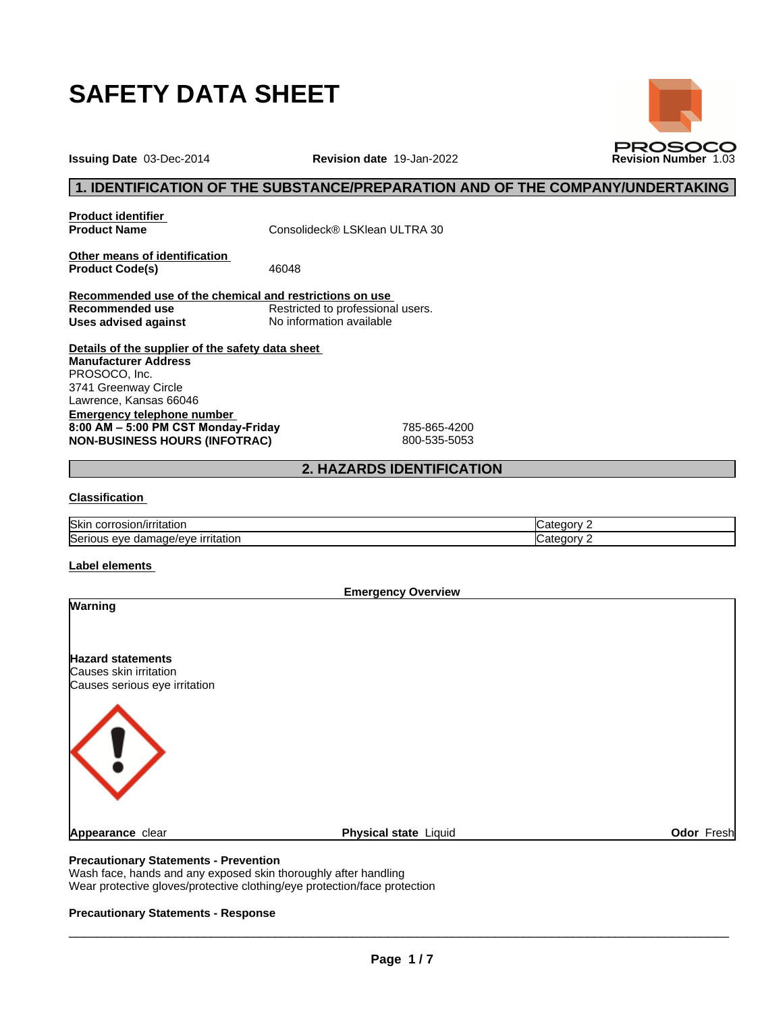

**Issuing Date** 03-Dec-2014 **Revision date** 19-Jan-2022 **Revision Number** 1.03



**Product identifier**

**Product Name** Consolideck® LSKlean ULTRA 30

**Other means of identification**<br>**Product Code(s)** 46048 **Product Code(s)** 

**Recommended use of the chemical and restrictions on use** Restricted to professional users.<br>No information available **Uses** advised against

**Details of the supplier of the safety data sheet Emergency telephone number 8:00AM–5:00PMCSTMonday-Friday** 785-865-4200 **NON-BUSINESS HOURS (INFOTRAC)** 800-535-5053 **Manufacturer Address** PROSOCO, Inc. 3741 Greenway Circle Lawrence, Kansas 66046

## **2. HAZARDS IDENTIFICATION**

### **Classification**

| <b>Skin</b><br>rosion/irritation<br>JOFF. | .ate<br>.⊲u∩rv |
|-------------------------------------------|----------------|
| Serio                                     | .ate           |
| irritation                                | -dorv          |
| eve                                       |                |
| damade/eve                                | . .            |

#### **Label elements**

**Emergency Overview Warning Hazard statements** Causes skin irritation Causes serious eye irritation **Appearance** clear **Physical state** Liquid **Odor** Fresh

### **Precautionary Statements - Prevention**

Wash face, hands and any exposed skin thoroughly after handling Wear protective gloves/protective clothing/eye protection/face protection

### **Precautionary Statements - Response**

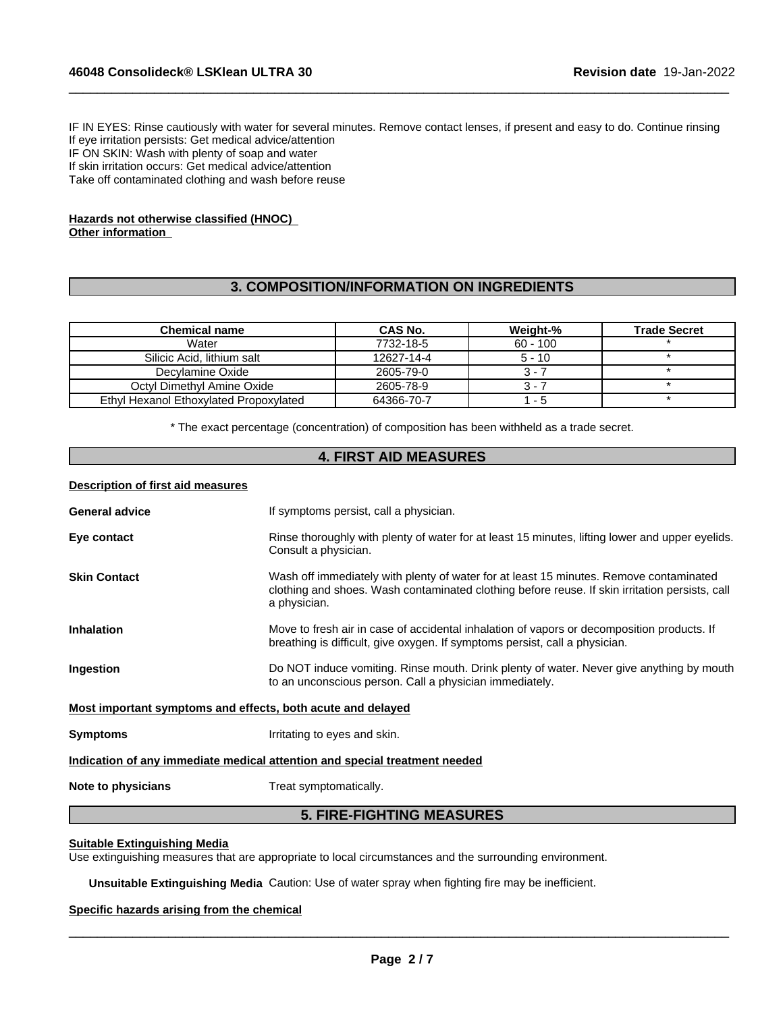IF IN EYES: Rinse cautiously with water for several minutes. Remove contact lenses, if present and easy to do. Continue rinsing If eye irritation persists: Get medical advice/attention IF ON SKIN: Wash with plenty of soap and water If skin irritation occurs: Get medical advice/attention Take off contaminated clothing and wash before reuse

 $\_$  ,  $\_$  ,  $\_$  ,  $\_$  ,  $\_$  ,  $\_$  ,  $\_$  ,  $\_$  ,  $\_$  ,  $\_$  ,  $\_$  ,  $\_$  ,  $\_$  ,  $\_$  ,  $\_$  ,  $\_$  ,  $\_$  ,  $\_$  ,  $\_$  ,  $\_$  ,  $\_$  ,  $\_$  ,  $\_$  ,  $\_$  ,  $\_$  ,  $\_$  ,  $\_$  ,  $\_$  ,  $\_$  ,  $\_$  ,  $\_$  ,  $\_$  ,  $\_$  ,  $\_$  ,  $\_$  ,  $\_$  ,  $\_$  ,

### **Hazards not otherwise classified (HNOC) Other information**

## **3. COMPOSITION/INFORMATION ON INGREDIENTS**

| <b>Chemical name</b>                   | CAS No.    | Weight-%   | <b>Trade Secret</b> |
|----------------------------------------|------------|------------|---------------------|
| Water                                  | 7732-18-5  | $60 - 100$ |                     |
| Silicic Acid. lithium salt             | 12627-14-4 | $5 - 10$   |                     |
| Decylamine Oxide                       | 2605-79-0  | $3 - i$    |                     |
| Octyl Dimethyl Amine Oxide             | 2605-78-9  | 3 - 7      |                     |
| Ethyl Hexanol Ethoxylated Propoxylated | 64366-70-7 | - 5        |                     |

\* The exact percentage (concentration) ofcomposition has been withheld as a trade secret.

## **4. FIRST AID MEASURES**

### **Description of first aid measures**

| <b>General advice</b>                                       | If symptoms persist, call a physician.                                                                                                                                                                   |
|-------------------------------------------------------------|----------------------------------------------------------------------------------------------------------------------------------------------------------------------------------------------------------|
| Eye contact                                                 | Rinse thoroughly with plenty of water for at least 15 minutes, lifting lower and upper eyelids.<br>Consult a physician.                                                                                  |
| <b>Skin Contact</b>                                         | Wash off immediately with plenty of water for at least 15 minutes. Remove contaminated<br>clothing and shoes. Wash contaminated clothing before reuse. If skin irritation persists, call<br>a physician. |
| <b>Inhalation</b>                                           | Move to fresh air in case of accidental inhalation of vapors or decomposition products. If<br>breathing is difficult, give oxygen. If symptoms persist, call a physician.                                |
| Ingestion                                                   | Do NOT induce vomiting. Rinse mouth. Drink plenty of water. Never give anything by mouth<br>to an unconscious person. Call a physician immediately.                                                      |
| Most important symptoms and effects, both acute and delayed |                                                                                                                                                                                                          |
| <b>Symptoms</b>                                             | Irritating to eyes and skin.                                                                                                                                                                             |
|                                                             | Indication of any immediate medical attention and special treatment needed                                                                                                                               |
| Note to physicians                                          | Treat symptomatically.                                                                                                                                                                                   |
|                                                             |                                                                                                                                                                                                          |

# **5. FIRE-FIGHTING MEASURES**

#### **Suitable Extinguishing Media**

Use extinguishing measures that are appropriate to local circumstances and the surrounding environment.

**Unsuitable Extinguishing Media** Caution: Use of water spray when fighting fire may be inefficient.

### **Specific hazards arising from the chemical**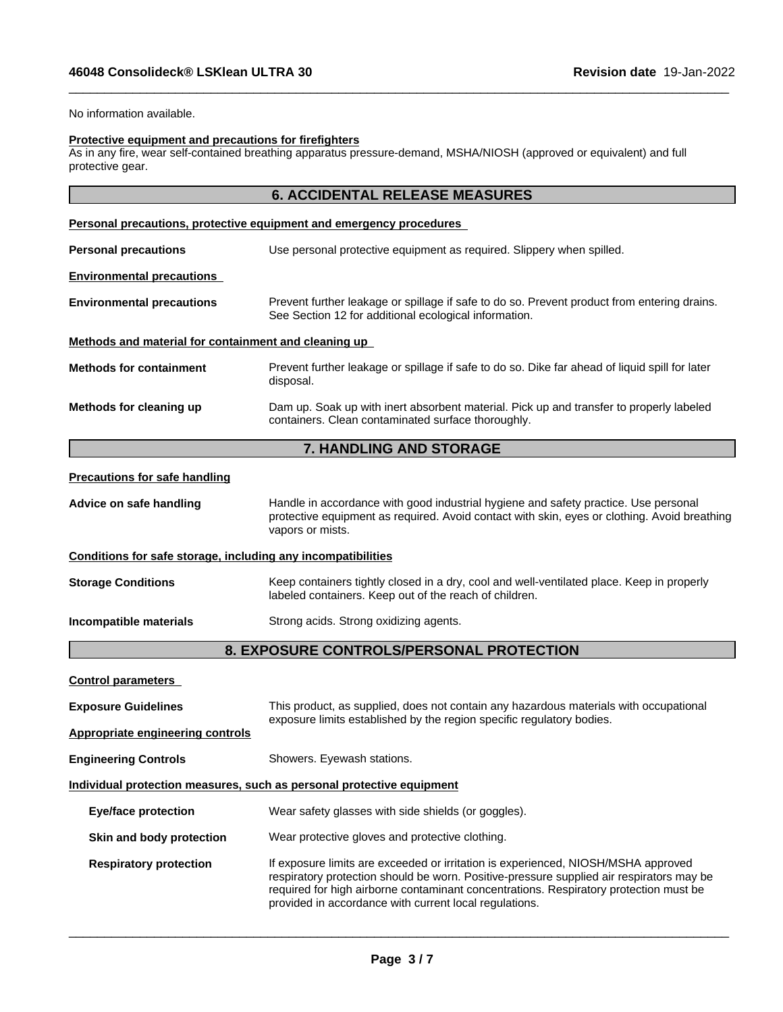No information available.

### **Protective equipment and precautions for firefighters**

As in any fire, wear self-contained breathing apparatus pressure-demand, MSHA/NIOSH (approved or equivalent) and full protective gear.

# **6. ACCIDENTAL RELEASE MEASURES**

 $\_$  ,  $\_$  ,  $\_$  ,  $\_$  ,  $\_$  ,  $\_$  ,  $\_$  ,  $\_$  ,  $\_$  ,  $\_$  ,  $\_$  ,  $\_$  ,  $\_$  ,  $\_$  ,  $\_$  ,  $\_$  ,  $\_$  ,  $\_$  ,  $\_$  ,  $\_$  ,  $\_$  ,  $\_$  ,  $\_$  ,  $\_$  ,  $\_$  ,  $\_$  ,  $\_$  ,  $\_$  ,  $\_$  ,  $\_$  ,  $\_$  ,  $\_$  ,  $\_$  ,  $\_$  ,  $\_$  ,  $\_$  ,  $\_$  ,

|                                                              | <u>Personal precautions, protective equipment and emergency procedures</u>                                                                                                                              |
|--------------------------------------------------------------|---------------------------------------------------------------------------------------------------------------------------------------------------------------------------------------------------------|
| <b>Personal precautions</b>                                  | Use personal protective equipment as required. Slippery when spilled.                                                                                                                                   |
| <b>Environmental precautions</b>                             |                                                                                                                                                                                                         |
| <b>Environmental precautions</b>                             | Prevent further leakage or spillage if safe to do so. Prevent product from entering drains.<br>See Section 12 for additional ecological information.                                                    |
| Methods and material for containment and cleaning up         |                                                                                                                                                                                                         |
| <b>Methods for containment</b>                               | Prevent further leakage or spillage if safe to do so. Dike far ahead of liquid spill for later<br>disposal.                                                                                             |
| Methods for cleaning up                                      | Dam up. Soak up with inert absorbent material. Pick up and transfer to properly labeled<br>containers. Clean contaminated surface thoroughly.                                                           |
|                                                              | 7. HANDLING AND STORAGE                                                                                                                                                                                 |
| <b>Precautions for safe handling</b>                         |                                                                                                                                                                                                         |
| Advice on safe handling                                      | Handle in accordance with good industrial hygiene and safety practice. Use personal<br>protective equipment as required. Avoid contact with skin, eyes or clothing. Avoid breathing<br>vapors or mists. |
| Conditions for safe storage, including any incompatibilities |                                                                                                                                                                                                         |
| <b>Storage Conditions</b>                                    | Keep containers tightly closed in a dry, cool and well-ventilated place. Keep in properly<br>labeled containers. Keep out of the reach of children.                                                     |

**Incompatible materials** Strong acids. Strong oxidizing agents.

# **8. EXPOSURE CONTROLS/PERSONAL PROTECTION**

| This product, as supplied, does not contain any hazardous materials with occupational<br>exposure limits established by the region specific regulatory bodies.                                                                                                                                                                   |
|----------------------------------------------------------------------------------------------------------------------------------------------------------------------------------------------------------------------------------------------------------------------------------------------------------------------------------|
|                                                                                                                                                                                                                                                                                                                                  |
| Showers. Eyewash stations.                                                                                                                                                                                                                                                                                                       |
| Individual protection measures, such as personal protective equipment                                                                                                                                                                                                                                                            |
| Wear safety glasses with side shields (or goggles).                                                                                                                                                                                                                                                                              |
| Wear protective gloves and protective clothing.                                                                                                                                                                                                                                                                                  |
| If exposure limits are exceeded or irritation is experienced, NIOSH/MSHA approved<br>respiratory protection should be worn. Positive-pressure supplied air respirators may be<br>required for high airborne contaminant concentrations. Respiratory protection must be<br>provided in accordance with current local regulations. |
|                                                                                                                                                                                                                                                                                                                                  |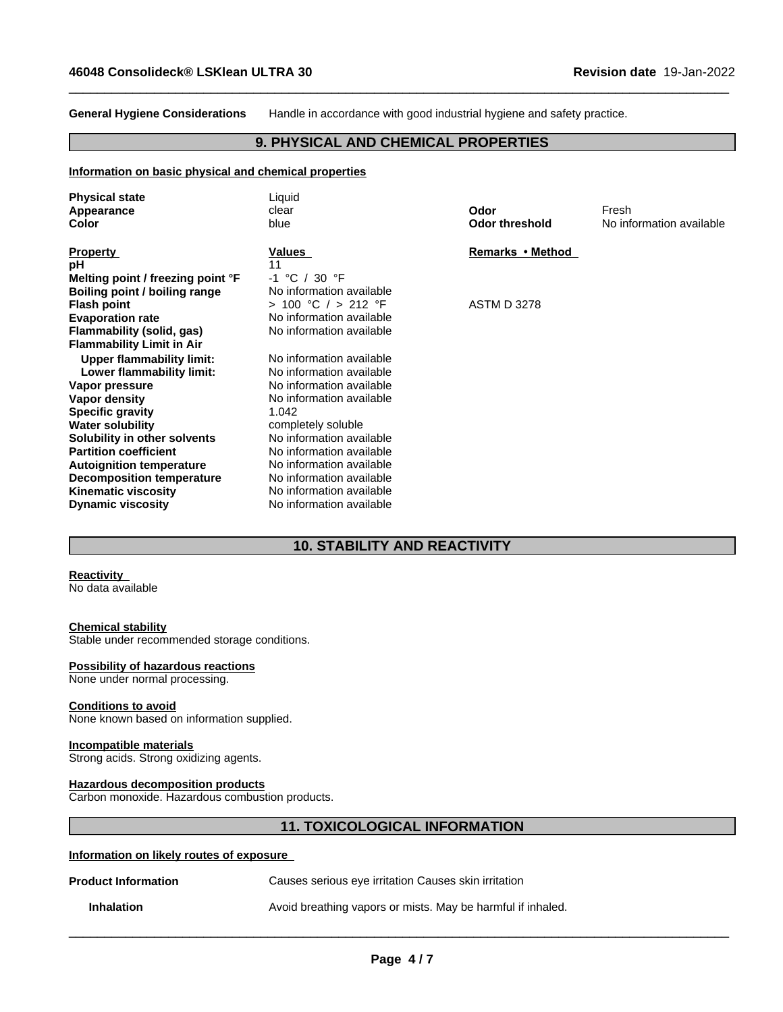**General Hygiene Considerations** Handle in accordance with good industrial hygiene and safety practice.

 $\_$  ,  $\_$  ,  $\_$  ,  $\_$  ,  $\_$  ,  $\_$  ,  $\_$  ,  $\_$  ,  $\_$  ,  $\_$  ,  $\_$  ,  $\_$  ,  $\_$  ,  $\_$  ,  $\_$  ,  $\_$  ,  $\_$  ,  $\_$  ,  $\_$  ,  $\_$  ,  $\_$  ,  $\_$  ,  $\_$  ,  $\_$  ,  $\_$  ,  $\_$  ,  $\_$  ,  $\_$  ,  $\_$  ,  $\_$  ,  $\_$  ,  $\_$  ,  $\_$  ,  $\_$  ,  $\_$  ,  $\_$  ,  $\_$  ,

## **9. PHYSICAL AND CHEMICAL PROPERTIES**

#### **Information on basic physical and chemical properties**

| <b>Physical state</b><br>Appearance<br>Color                  | Liquid<br>clear<br>blue                              | Odor<br><b>Odor threshold</b> | Fresh<br>No information available |
|---------------------------------------------------------------|------------------------------------------------------|-------------------------------|-----------------------------------|
| <b>Property</b><br>рH                                         | Values<br>11                                         | Remarks • Method              |                                   |
| Melting point / freezing point °F                             | $-1$ °C / 30 °F                                      |                               |                                   |
| Boiling point / boiling range                                 | No information available                             |                               |                                   |
| <b>Flash point</b>                                            | > 100 °C / > 212 °F                                  | <b>ASTM D 3278</b>            |                                   |
| <b>Evaporation rate</b>                                       | No information available                             |                               |                                   |
| Flammability (solid, gas)<br><b>Flammability Limit in Air</b> | No information available                             |                               |                                   |
| <b>Upper flammability limit:</b>                              | No information available                             |                               |                                   |
| Lower flammability limit:                                     | No information available                             |                               |                                   |
| Vapor pressure                                                | No information available                             |                               |                                   |
| Vapor density                                                 | No information available                             |                               |                                   |
| <b>Specific gravity</b>                                       | 1.042                                                |                               |                                   |
| <b>Water solubility</b>                                       | completely soluble                                   |                               |                                   |
| Solubility in other solvents                                  | No information available                             |                               |                                   |
| <b>Partition coefficient</b>                                  | No information available                             |                               |                                   |
| <b>Autoignition temperature</b>                               | No information available                             |                               |                                   |
| <b>Decomposition temperature</b>                              | No information available<br>No information available |                               |                                   |
| <b>Kinematic viscosity</b>                                    | No information available                             |                               |                                   |
| <b>Dynamic viscosity</b>                                      |                                                      |                               |                                   |

# **10. STABILITY AND REACTIVITY**

### **Reactivity**

No data available

## **Chemical stability**

Stable under recommended storage conditions.

#### **Possibility of hazardous reactions**

None under normal processing.

### **Conditions to avoid**

None known based on information supplied.

#### **Incompatible materials**

Strong acids. Strong oxidizing agents.

#### **Hazardous decomposition products**

Carbon monoxide. Hazardous combustion products.

# **11. TOXICOLOGICAL INFORMATION**

#### **Information on likely routes of exposure**

| <b>Product Information</b> | Causes serious eye irritation Causes skin irritation        |
|----------------------------|-------------------------------------------------------------|
| <b>Inhalation</b>          | Avoid breathing vapors or mists. May be harmful if inhaled. |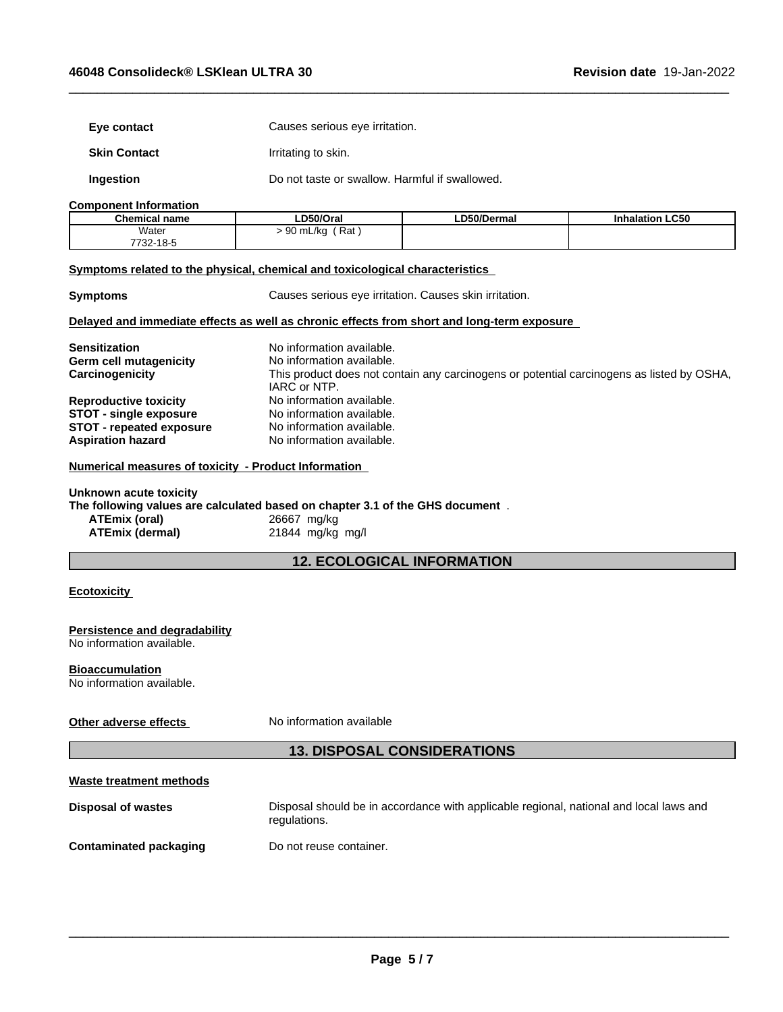| Eye contact                                                                                                                                               | Causes serious eye irritation.                                                         |             |                                                                                           |
|-----------------------------------------------------------------------------------------------------------------------------------------------------------|----------------------------------------------------------------------------------------|-------------|-------------------------------------------------------------------------------------------|
| <b>Skin Contact</b>                                                                                                                                       | Irritating to skin.                                                                    |             |                                                                                           |
| Ingestion                                                                                                                                                 | Do not taste or swallow. Harmful if swallowed.                                         |             |                                                                                           |
| <b>Component Information</b>                                                                                                                              |                                                                                        |             |                                                                                           |
| <b>Chemical name</b>                                                                                                                                      | LD50/Oral                                                                              | LD50/Dermal | <b>Inhalation LC50</b>                                                                    |
| Water                                                                                                                                                     | $> 90$ mL/kg (Rat)                                                                     |             |                                                                                           |
| 7732-18-5                                                                                                                                                 |                                                                                        |             |                                                                                           |
| Symptoms related to the physical, chemical and toxicological characteristics                                                                              |                                                                                        |             |                                                                                           |
| <b>Symptoms</b>                                                                                                                                           | Causes serious eye irritation. Causes skin irritation.                                 |             |                                                                                           |
| Delayed and immediate effects as well as chronic effects from short and long-term exposure                                                                |                                                                                        |             |                                                                                           |
| <b>Sensitization</b>                                                                                                                                      | No information available.                                                              |             |                                                                                           |
|                                                                                                                                                           | No information available.                                                              |             |                                                                                           |
| Germ cell mutagenicity                                                                                                                                    |                                                                                        |             |                                                                                           |
| Carcinogenicity                                                                                                                                           |                                                                                        |             | This product does not contain any carcinogens or potential carcinogens as listed by OSHA, |
|                                                                                                                                                           | IARC or NTP.                                                                           |             |                                                                                           |
| <b>Reproductive toxicity</b>                                                                                                                              | No information available.                                                              |             |                                                                                           |
| <b>STOT - single exposure</b>                                                                                                                             | No information available.                                                              |             |                                                                                           |
| <b>STOT - repeated exposure</b>                                                                                                                           | No information available.                                                              |             |                                                                                           |
| <b>Aspiration hazard</b>                                                                                                                                  | No information available.                                                              |             |                                                                                           |
| Numerical measures of toxicity - Product Information                                                                                                      |                                                                                        |             |                                                                                           |
| Unknown acute toxicity<br>The following values are calculated based on chapter 3.1 of the GHS document.<br><b>ATEmix (oral)</b><br><b>ATEmix (dermal)</b> | 26667 mg/kg<br>21844 mg/kg mg/l                                                        |             |                                                                                           |
|                                                                                                                                                           | <b>12. ECOLOGICAL INFORMATION</b>                                                      |             |                                                                                           |
| <b>Ecotoxicity</b>                                                                                                                                        |                                                                                        |             |                                                                                           |
| Persistence and degradability<br>No information available.                                                                                                |                                                                                        |             |                                                                                           |
|                                                                                                                                                           |                                                                                        |             |                                                                                           |
| <b>Bioaccumulation</b><br>No information available.                                                                                                       |                                                                                        |             |                                                                                           |
| Other adverse effects                                                                                                                                     | No information available                                                               |             |                                                                                           |
|                                                                                                                                                           | <b>13. DISPOSAL CONSIDERATIONS</b>                                                     |             |                                                                                           |
| <b>Waste treatment methods</b>                                                                                                                            |                                                                                        |             |                                                                                           |
| <b>Disposal of wastes</b>                                                                                                                                 | Disposal should be in accordance with applicable regional, national and local laws and |             |                                                                                           |
|                                                                                                                                                           | regulations.                                                                           |             |                                                                                           |
| <b>Contaminated packaging</b>                                                                                                                             | Do not reuse container.                                                                |             |                                                                                           |
|                                                                                                                                                           |                                                                                        |             |                                                                                           |
|                                                                                                                                                           |                                                                                        |             |                                                                                           |

 $\_$  ,  $\_$  ,  $\_$  ,  $\_$  ,  $\_$  ,  $\_$  ,  $\_$  ,  $\_$  ,  $\_$  ,  $\_$  ,  $\_$  ,  $\_$  ,  $\_$  ,  $\_$  ,  $\_$  ,  $\_$  ,  $\_$  ,  $\_$  ,  $\_$  ,  $\_$  ,  $\_$  ,  $\_$  ,  $\_$  ,  $\_$  ,  $\_$  ,  $\_$  ,  $\_$  ,  $\_$  ,  $\_$  ,  $\_$  ,  $\_$  ,  $\_$  ,  $\_$  ,  $\_$  ,  $\_$  ,  $\_$  ,  $\_$  ,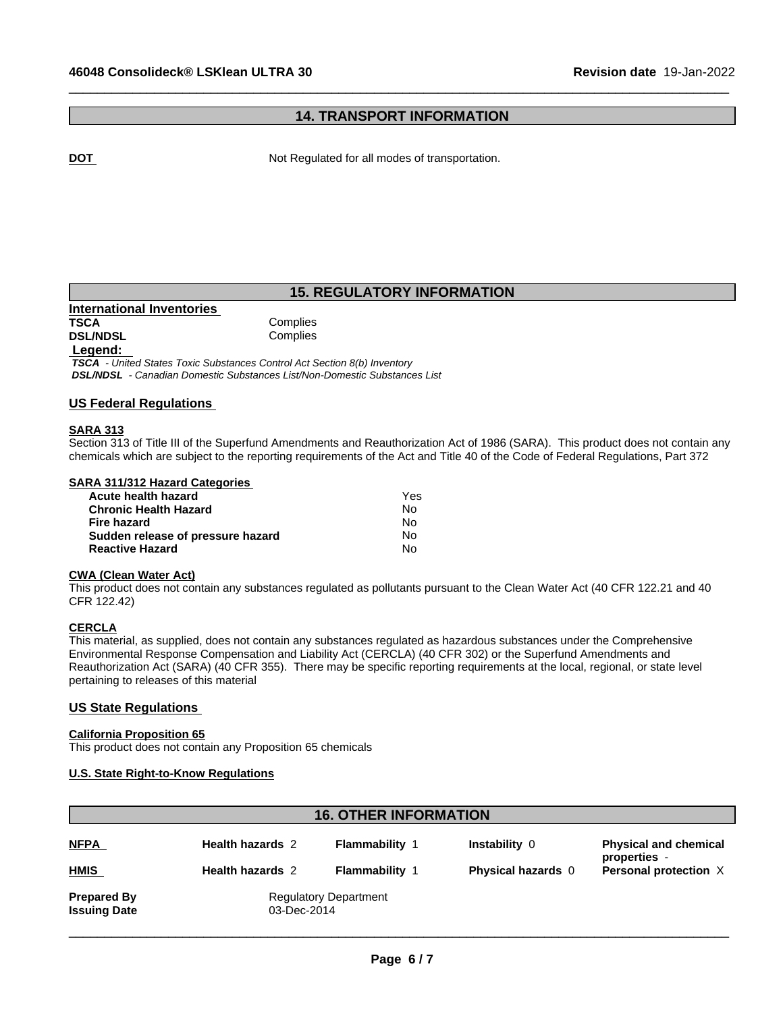## **14. TRANSPORT INFORMATION**

 $\_$  ,  $\_$  ,  $\_$  ,  $\_$  ,  $\_$  ,  $\_$  ,  $\_$  ,  $\_$  ,  $\_$  ,  $\_$  ,  $\_$  ,  $\_$  ,  $\_$  ,  $\_$  ,  $\_$  ,  $\_$  ,  $\_$  ,  $\_$  ,  $\_$  ,  $\_$  ,  $\_$  ,  $\_$  ,  $\_$  ,  $\_$  ,  $\_$  ,  $\_$  ,  $\_$  ,  $\_$  ,  $\_$  ,  $\_$  ,  $\_$  ,  $\_$  ,  $\_$  ,  $\_$  ,  $\_$  ,  $\_$  ,  $\_$  ,

**DOT Not Regulated for all modes of transportation.** 

## **15. REGULATORY INFORMATION**

**International Inventories TSCA** Complies<br> **DSL/NDSL** Complies **DSL/NDSL** 

#### **Legend:**

 *TSCA - United States Toxic Substances Control Act Section 8(b) Inventory DSL/NDSL - Canadian Domestic Substances List/Non-Domestic Substances List*

### **US Federal Regulations**

### **SARA 313**

Section 313 of Title III of the Superfund Amendments and Reauthorization Act of 1986 (SARA). This product does not contain any chemicals which are subject to the reporting requirements of the Act and Title 40 of the Code of Federal Regulations, Part 372

#### **SARA 311/312 Hazard Categories**

| Acute health hazard               | Yes |  |
|-----------------------------------|-----|--|
| <b>Chronic Health Hazard</b>      | No. |  |
| Fire hazard                       | N٥  |  |
| Sudden release of pressure hazard | No. |  |
| <b>Reactive Hazard</b>            | N٥  |  |

#### **CWA (Clean WaterAct)**

This product does not contain any substances regulated as pollutants pursuant to the Clean Water Act (40 CFR 122.21 and 40 CFR 122.42)

#### **CERCLA**

This material, as supplied, does not contain any substances regulated as hazardous substances under the Comprehensive Environmental Response Compensation and Liability Act (CERCLA) (40 CFR 302) or the Superfund Amendments and Reauthorization Act (SARA) (40 CFR 355). There may be specific reporting requirements at the local, regional, or state level pertaining to releases of this material

#### **US State Regulations**

#### **California Proposition 65**

This product does not contain any Proposition 65 chemicals

#### **U.S. State Right-to-Know Regulations**

|                                           |                         | <b>16. OTHER INFORMATION</b>                |                           |                                              |
|-------------------------------------------|-------------------------|---------------------------------------------|---------------------------|----------------------------------------------|
| <b>NFPA</b>                               | <b>Health hazards 2</b> | <b>Flammability 1</b>                       | Instability 0             | <b>Physical and chemical</b><br>properties - |
| <b>HMIS</b>                               | <b>Health hazards 2</b> | <b>Flammability 1</b>                       | <b>Physical hazards</b> 0 | Personal protection X                        |
| <b>Prepared By</b><br><b>Issuing Date</b> |                         | <b>Regulatory Department</b><br>03-Dec-2014 |                           |                                              |